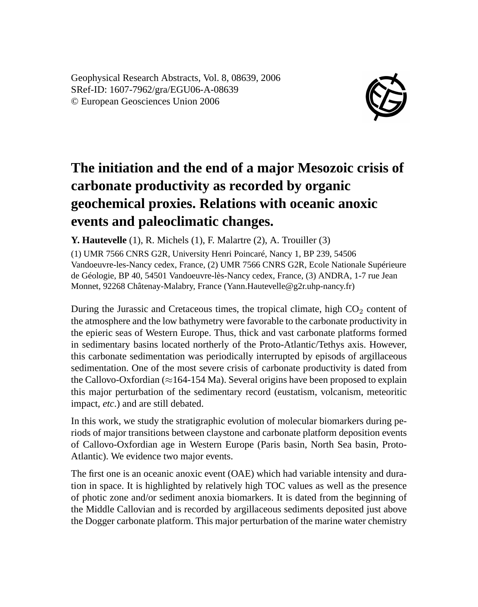Geophysical Research Abstracts, Vol. 8, 08639, 2006 SRef-ID: 1607-7962/gra/EGU06-A-08639 © European Geosciences Union 2006



## **The initiation and the end of a major Mesozoic crisis of carbonate productivity as recorded by organic geochemical proxies. Relations with oceanic anoxic events and paleoclimatic changes.**

**Y. Hautevelle** (1), R. Michels (1), F. Malartre (2), A. Trouiller (3)

(1) UMR 7566 CNRS G2R, University Henri Poincaré, Nancy 1, BP 239, 54506 Vandoeuvre-les-Nancy cedex, France, (2) UMR 7566 CNRS G2R, Ecole Nationale Supérieure de Géologie, BP 40, 54501 Vandoeuvre-lès-Nancy cedex, France, (3) ANDRA, 1-7 rue Jean Monnet, 92268 Châtenay-Malabry, France (Yann.Hautevelle@g2r.uhp-nancy.fr)

During the Jurassic and Cretaceous times, the tropical climate, high  $CO<sub>2</sub>$  content of the atmosphere and the low bathymetry were favorable to the carbonate productivity in the epieric seas of Western Europe. Thus, thick and vast carbonate platforms formed in sedimentary basins located northerly of the Proto-Atlantic/Tethys axis. However, this carbonate sedimentation was periodically interrupted by episods of argillaceous sedimentation. One of the most severe crisis of carbonate productivity is dated from the Callovo-Oxfordian ( $\approx$ 164-154 Ma). Several origins have been proposed to explain this major perturbation of the sedimentary record (eustatism, volcanism, meteoritic impact, *etc*.) and are still debated.

In this work, we study the stratigraphic evolution of molecular biomarkers during periods of major transitions between claystone and carbonate platform deposition events of Callovo-Oxfordian age in Western Europe (Paris basin, North Sea basin, Proto-Atlantic). We evidence two major events.

The first one is an oceanic anoxic event (OAE) which had variable intensity and duration in space. It is highlighted by relatively high TOC values as well as the presence of photic zone and/or sediment anoxia biomarkers. It is dated from the beginning of the Middle Callovian and is recorded by argillaceous sediments deposited just above the Dogger carbonate platform. This major perturbation of the marine water chemistry